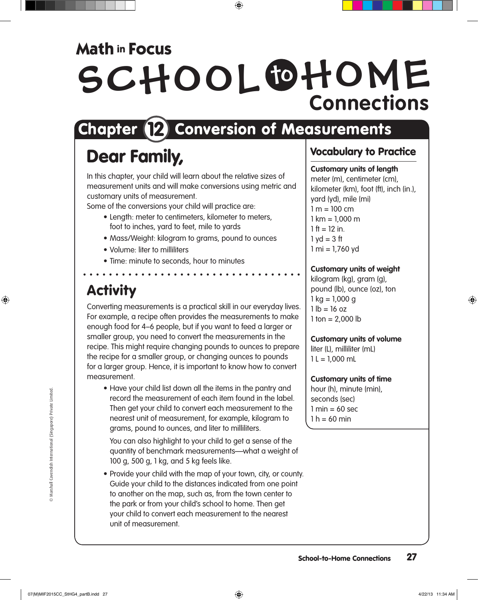## **Math in Focus**

# SCHOOL OHOME **Connections**

## Chapter (2) Conversion of Measurements

## Dear Family,

In this chapter, your child will learn about the relative sizes of measurement units and will make conversions using metric and customary units of measurement.

Some of the conversions your child will practice are:

- Length: meter to centimeters, kilometer to meters, foot to inches, yard to feet, mile to yards
- Mass/Weight: kilogram to grams, pound to ounces
- • Volume: liter to milliliters
- Time: minute to seconds, hour to minutes

### **Activity**

Converting measurements is a practical skill in our everyday lives. For example, a recipe often provides the measurements to make enough food for 4–6 people, but if you want to feed a larger or smaller group, you need to convert the measurements in the recipe. This might require changing pounds to ounces to prepare the recipe for a smaller group, or changing ounces to pounds for a larger group. Hence, it is important to know how to convert measurement.

• Have your child list down all the items in the pantry and record the measurement of each item found in the label. Then get your child to convert each measurement to the nearest unit of measurement, for example, kilogram to grams, pound to ounces, and liter to milliliters.

You can also highlight to your child to get a sense of the quantity of benchmark measurements—what a weight of 100 g, 500 g, 1 kg, and 5 kg feels like.

• Provide your child with the map of your town, city, or county. Guide your child to the distances indicated from one point to another on the map, such as, from the town center to the park or from your child's school to home. Then get your child to convert each measurement to the nearest unit of measurement.

### Vocabulary to Practice

### **Customary units of length**

meter (m), centimeter (cm), kilometer (km), foot (ft), inch (in.), yard (yd), mile (mi)  $1 m = 100 cm$  $1 km = 1,000 m$  $1 \text{ ft} = 12 \text{ in}$  $1 yd = 3 ft$  $1 mi = 1,760 yd$ 

### **Customary units of weight**

kilogram (kg), gram (g), pound (lb), ounce (oz), ton  $1$  kg = 1,000 g  $1 lb = 16 oz$  $1$  ton = 2,000 lb

### **Customary units of volume**

liter (L), milliliter (mL)  $1 L = 1,000$  mL

### **Customary units of time**

hour (h), minute (min), seconds (sec)  $1 min = 60 sec$  $1 h = 60 min$